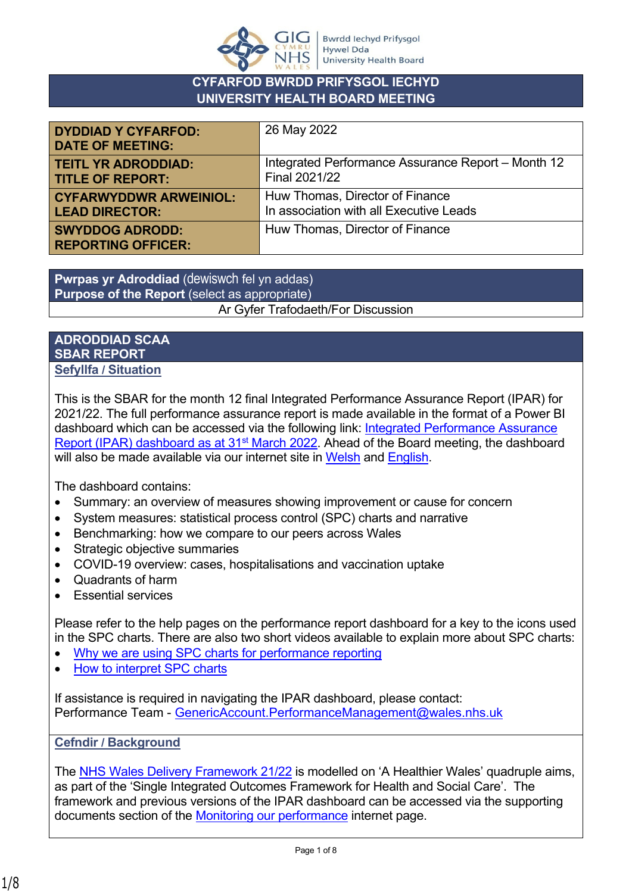

## **CYFARFOD BWRDD PRIFYSGOL IECHYD UNIVERSITY HEALTH BOARD MEETING**

| <b>DYDDIAD Y CYFARFOD:</b><br><b>DATE OF MEETING:</b> | 26 May 2022                                        |
|-------------------------------------------------------|----------------------------------------------------|
| <b>TEITL YR ADRODDIAD:</b>                            | Integrated Performance Assurance Report – Month 12 |
| <b>TITLE OF REPORT:</b>                               | Final 2021/22                                      |
| <b>CYFARWYDDWR ARWEINIOL:</b>                         | Huw Thomas, Director of Finance                    |
| <b>LEAD DIRECTOR:</b>                                 | In association with all Executive Leads            |
| <b>SWYDDOG ADRODD:</b><br><b>REPORTING OFFICER:</b>   | Huw Thomas, Director of Finance                    |

**Pwrpas yr Adroddiad** (dewiswch fel yn addas) **Purpose of the Report** (select as appropriate) Ar Gyfer Trafodaeth/For Discussion

## **ADRODDIAD SCAA SBAR REPORT Sefyllfa / Situation**

This is the SBAR for the month 12 final Integrated Performance Assurance Report (IPAR) for 2021/22. The full performance assurance report is made available in the format of a Power BI dashboard which can be accessed via the following link: [Integrated Performance Assurance](https://app.powerbi.com/view?r=eyJrIjoiNDUyZDJhNjUtYzU1Ni00NDAzLWEyZTMtYzM4NjBmZTg5Mzc0IiwidCI6ImJiNTYyOGI4LWUzMjgtNDA4Mi1hODU2LTQzM2M5ZWRjOGZhZSJ9)  [Report \(IPAR\) dashboard as at 31](https://app.powerbi.com/view?r=eyJrIjoiNDUyZDJhNjUtYzU1Ni00NDAzLWEyZTMtYzM4NjBmZTg5Mzc0IiwidCI6ImJiNTYyOGI4LWUzMjgtNDA4Mi1hODU2LTQzM2M5ZWRjOGZhZSJ9)<sup>st</sup> March 2022. Ahead of the Board meeting, the dashboard will also be made available via our internet site in [Welsh](https://biphdd.gig.cymru/amdanom-ni/targedau-perfformiad/ein-perfformiad-ffolder/monitro-ein-perfformiad/) and [English.](https://hduhb.nhs.wales/about-us/performance-targets/our-performance-areas/monitoring-our-performance/)

The dashboard contains:

- Summary: an overview of measures showing improvement or cause for concern
- System measures: statistical process control (SPC) charts and narrative
- Benchmarking: how we compare to our peers across Wales
- Strategic objective summaries
- COVID-19 overview: cases, hospitalisations and vaccination uptake
- Quadrants of harm
- Essential services

Please refer to the help pages on the performance report dashboard for a key to the icons used in the SPC charts. There are also two short videos available to explain more about SPC charts:

- [Why we are using SPC charts for performance reporting](https://nhswales365.sharepoint.com/:v:/s/HDD_Performance_Reporting/EVrWg04boMRGq6n8BhnhP1gByPMHrVXyIvQF8LkaQ43djQ?e=VNVZlM)
- [How to interpret SPC charts](https://nhswales365.sharepoint.com/:v:/s/HDD_Performance_Reporting/EQ8GDAtcW69JmNR8KkqpXDkBGVIPRxUw26vV5Up5a_RglA?e=dkX2vT)

If assistance is required in navigating the IPAR dashboard, please contact: Performance Team - [GenericAccount.PerformanceManagement@wales.nhs.uk](mailto:GenericAccount.PerformanceManagement@wales.nhs.uk)

**Cefndir / Background**

The [NHS Wales Delivery Framework 21/22](https://hduhb.nhs.wales/about-us/performance-targets/performance-documents/2021-22-nhs-wales-delivery-framework-amp-guidance-pdf/) is modelled on 'A Healthier Wales' quadruple aims, as part of the 'Single Integrated Outcomes Framework for Health and Social Care'. The framework and previous versions of the IPAR dashboard can be accessed via the supporting documents section of the [Monitoring our performance](https://hduhb.nhs.wales/about-us/performance-targets/our-performance-areas/monitoring-our-performance/) internet page.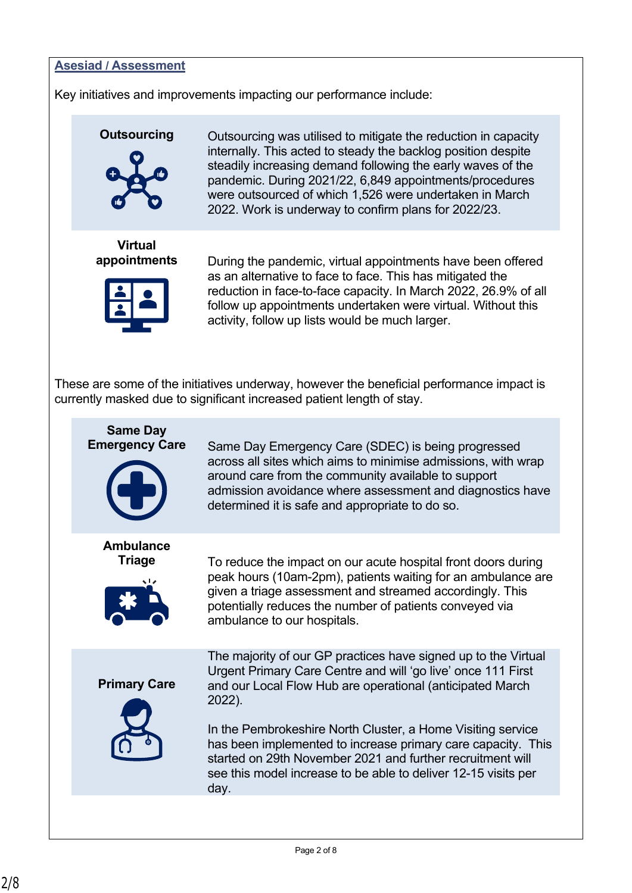## **Asesiad / Assessment**

Key initiatives and improvements impacting our performance include:



**Outsourcing** Outsourcing was utilised to mitigate the reduction in capacity internally. This acted to steady the backlog position despite steadily increasing demand following the early waves of the pandemic. During 2021/22, 6,849 appointments/procedures were outsourced of which 1,526 were undertaken in March 2022. Work is underway to confirm plans for 2022/23.

**Virtual** 



**appointments** During the pandemic, virtual appointments have been offered as an alternative to face to face. This has mitigated the reduction in face-to-face capacity. In March 2022, 26.9% of all follow up appointments undertaken were virtual. Without this activity, follow up lists would be much larger.

These are some of the initiatives underway, however the beneficial performance impact is currently masked due to significant increased patient length of stay.

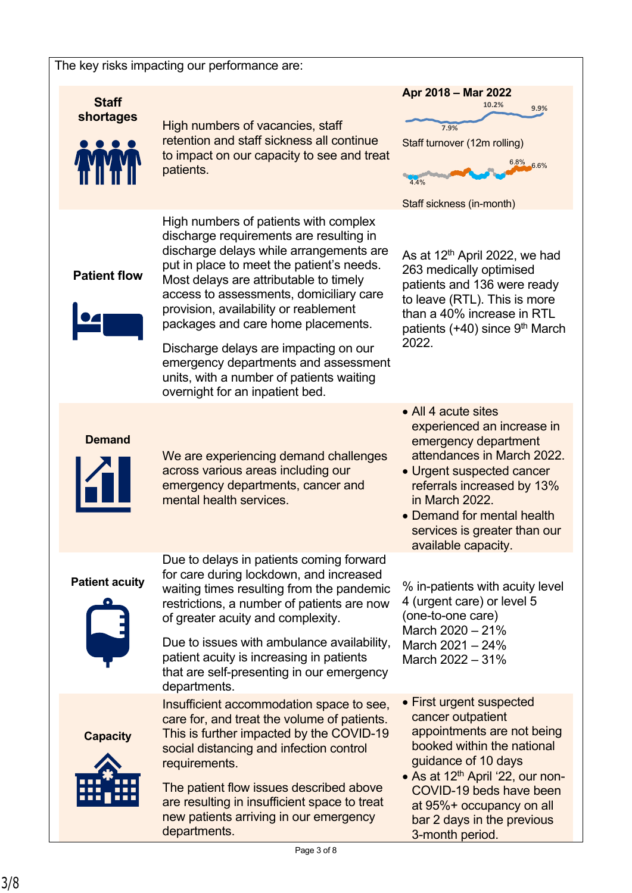#### The key risks impacting our performance are:

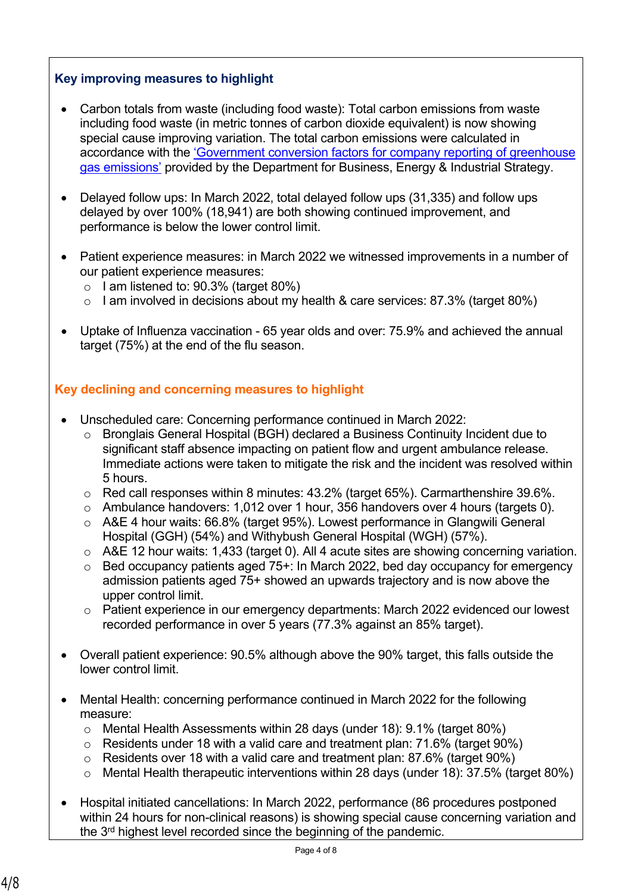## **Key improving measures to highlight**

- Carbon totals from waste (including food waste): Total carbon emissions from waste including food waste (in metric tonnes of carbon dioxide equivalent) is now showing special cause improving variation. The total carbon emissions were calculated in accordance with the ['Government conversion factors for company reporting of greenhouse](https://www.gov.uk/government/collections/government-conversion-factors-for-company-reporting)  [gas emissions'](https://www.gov.uk/government/collections/government-conversion-factors-for-company-reporting) provided by the Department for Business, Energy & Industrial Strategy.
- Delayed follow ups: In March 2022, total delayed follow ups (31,335) and follow ups delayed by over 100% (18,941) are both showing continued improvement, and performance is below the lower control limit.
- Patient experience measures: in March 2022 we witnessed improvements in a number of our patient experience measures:
	- $\circ$  I am listened to: 90.3% (target 80%)
	- $\circ$  I am involved in decisions about my health & care services: 87.3% (target 80%)
- Uptake of Influenza vaccination 65 year olds and over: 75.9% and achieved the annual target (75%) at the end of the flu season.

## **Key declining and concerning measures to highlight**

- Unscheduled care: Concerning performance continued in March 2022:
	- o Bronglais General Hospital (BGH) declared a Business Continuity Incident due to significant staff absence impacting on patient flow and urgent ambulance release. Immediate actions were taken to mitigate the risk and the incident was resolved within 5 hours.
	- o Red call responses within 8 minutes: 43.2% (target 65%). Carmarthenshire 39.6%.
	- o Ambulance handovers: 1,012 over 1 hour, 356 handovers over 4 hours (targets 0).
	- o A&E 4 hour waits: 66.8% (target 95%). Lowest performance in Glangwili General Hospital (GGH) (54%) and Withybush General Hospital (WGH) (57%).
	- o A&E 12 hour waits: 1,433 (target 0). All 4 acute sites are showing concerning variation.
	- $\circ$  Bed occupancy patients aged 75+: In March 2022, bed day occupancy for emergency admission patients aged 75+ showed an upwards trajectory and is now above the upper control limit.
	- o Patient experience in our emergency departments: March 2022 evidenced our lowest recorded performance in over 5 years (77.3% against an 85% target).
- Overall patient experience: 90.5% although above the 90% target, this falls outside the lower control limit.
- Mental Health: concerning performance continued in March 2022 for the following measure:
	- o Mental Health Assessments within 28 days (under 18): 9.1% (target 80%)
	- $\circ$  Residents under 18 with a valid care and treatment plan: 71.6% (target 90%)
	- o Residents over 18 with a valid care and treatment plan: 87.6% (target 90%)
	- $\circ$  Mental Health therapeutic interventions within 28 days (under 18): 37.5% (target 80%)
- Hospital initiated cancellations: In March 2022, performance (86 procedures postponed within 24 hours for non-clinical reasons) is showing special cause concerning variation and the 3rd highest level recorded since the beginning of the pandemic.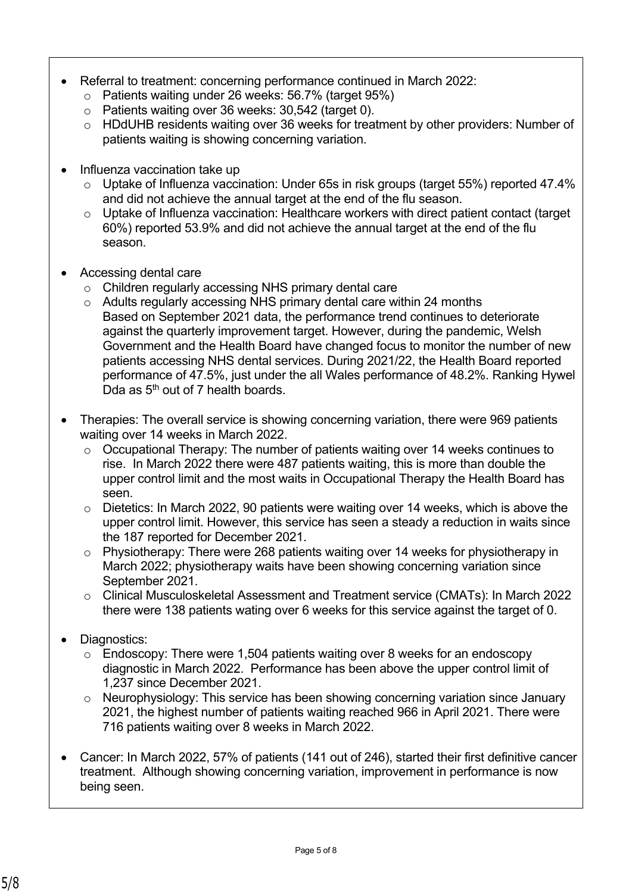- Referral to treatment: concerning performance continued in March 2022:
	- o Patients waiting under 26 weeks: 56.7% (target 95%)
	- o Patients waiting over 36 weeks: 30,542 (target 0).
	- o HDdUHB residents waiting over 36 weeks for treatment by other providers: Number of patients waiting is showing concerning variation.
- Influenza vaccination take up
	- o Uptake of Influenza vaccination: Under 65s in risk groups (target 55%) reported 47.4% and did not achieve the annual target at the end of the flu season.
	- o Uptake of Influenza vaccination: Healthcare workers with direct patient contact (target 60%) reported 53.9% and did not achieve the annual target at the end of the flu season.
- Accessing dental care
	- o Children regularly accessing NHS primary dental care
	- o Adults regularly accessing NHS primary dental care within 24 months Based on September 2021 data, the performance trend continues to deteriorate against the quarterly improvement target. However, during the pandemic, Welsh Government and the Health Board have changed focus to monitor the number of new patients accessing NHS dental services. During 2021/22, the Health Board reported performance of 47.5%, just under the all Wales performance of 48.2%. Ranking Hywel Dda as 5<sup>th</sup> out of 7 health boards.
- Therapies: The overall service is showing concerning variation, there were 969 patients waiting over 14 weeks in March 2022.
	- o Occupational Therapy: The number of patients waiting over 14 weeks continues to rise. In March 2022 there were 487 patients waiting, this is more than double the upper control limit and the most waits in Occupational Therapy the Health Board has seen.
	- $\circ$  Dietetics: In March 2022, 90 patients were waiting over 14 weeks, which is above the upper control limit. However, this service has seen a steady a reduction in waits since the 187 reported for December 2021.
	- o Physiotherapy: There were 268 patients waiting over 14 weeks for physiotherapy in March 2022; physiotherapy waits have been showing concerning variation since September 2021.
	- o Clinical Musculoskeletal Assessment and Treatment service (CMATs): In March 2022 there were 138 patients wating over 6 weeks for this service against the target of 0.
- Diagnostics:
	- $\circ$  Endoscopy: There were 1,504 patients waiting over 8 weeks for an endoscopy diagnostic in March 2022. Performance has been above the upper control limit of 1,237 since December 2021.
	- o Neurophysiology: This service has been showing concerning variation since January 2021, the highest number of patients waiting reached 966 in April 2021. There were 716 patients waiting over 8 weeks in March 2022.
- Cancer: In March 2022, 57% of patients (141 out of 246), started their first definitive cancer treatment. Although showing concerning variation, improvement in performance is now being seen.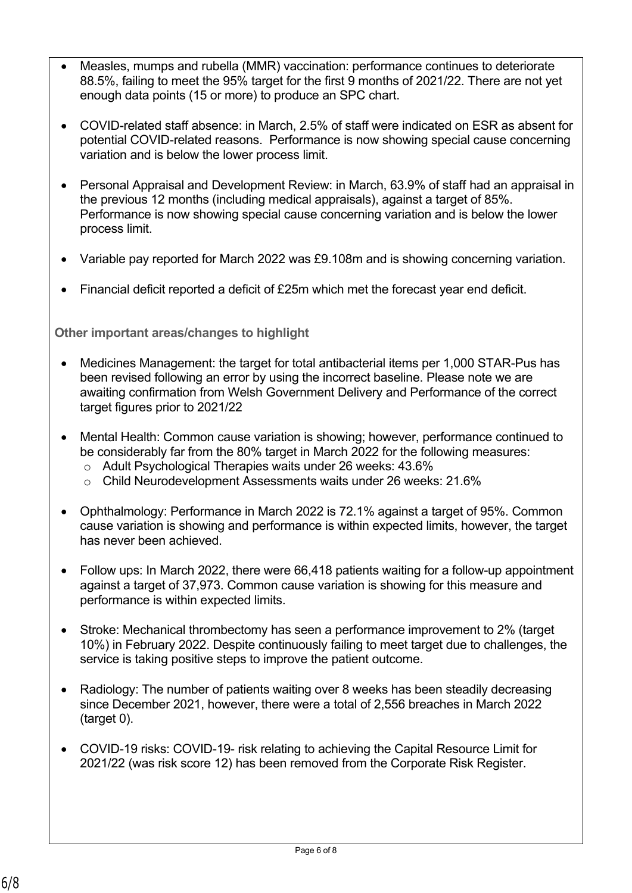- Measles, mumps and rubella (MMR) vaccination: performance continues to deteriorate 88.5%, failing to meet the 95% target for the first 9 months of 2021/22. There are not yet enough data points (15 or more) to produce an SPC chart.
- COVID-related staff absence: in March, 2.5% of staff were indicated on ESR as absent for potential COVID-related reasons. Performance is now showing special cause concerning variation and is below the lower process limit.
- Personal Appraisal and Development Review: in March, 63.9% of staff had an appraisal in the previous 12 months (including medical appraisals), against a target of 85%. Performance is now showing special cause concerning variation and is below the lower process limit.
- Variable pay reported for March 2022 was £9.108m and is showing concerning variation.
- Financial deficit reported a deficit of £25m which met the forecast year end deficit.

## **Other important areas/changes to highlight**

- Medicines Management: the target for total antibacterial items per 1,000 STAR-Pus has been revised following an error by using the incorrect baseline. Please note we are awaiting confirmation from Welsh Government Delivery and Performance of the correct target figures prior to 2021/22
- Mental Health: Common cause variation is showing; however, performance continued to be considerably far from the 80% target in March 2022 for the following measures:
	- o Adult Psychological Therapies waits under 26 weeks: 43.6%
	- o Child Neurodevelopment Assessments waits under 26 weeks: 21.6%
- Ophthalmology: Performance in March 2022 is 72.1% against a target of 95%. Common cause variation is showing and performance is within expected limits, however, the target has never been achieved.
- Follow ups: In March 2022, there were 66,418 patients waiting for a follow-up appointment against a target of 37,973. Common cause variation is showing for this measure and performance is within expected limits.
- Stroke: Mechanical thrombectomy has seen a performance improvement to 2% (target 10%) in February 2022. Despite continuously failing to meet target due to challenges, the service is taking positive steps to improve the patient outcome.
- Radiology: The number of patients waiting over 8 weeks has been steadily decreasing since December 2021, however, there were a total of 2,556 breaches in March 2022 (target 0).
- COVID-19 risks: COVID-19- risk relating to achieving the Capital Resource Limit for 2021/22 (was risk score 12) has been removed from the Corporate Risk Register.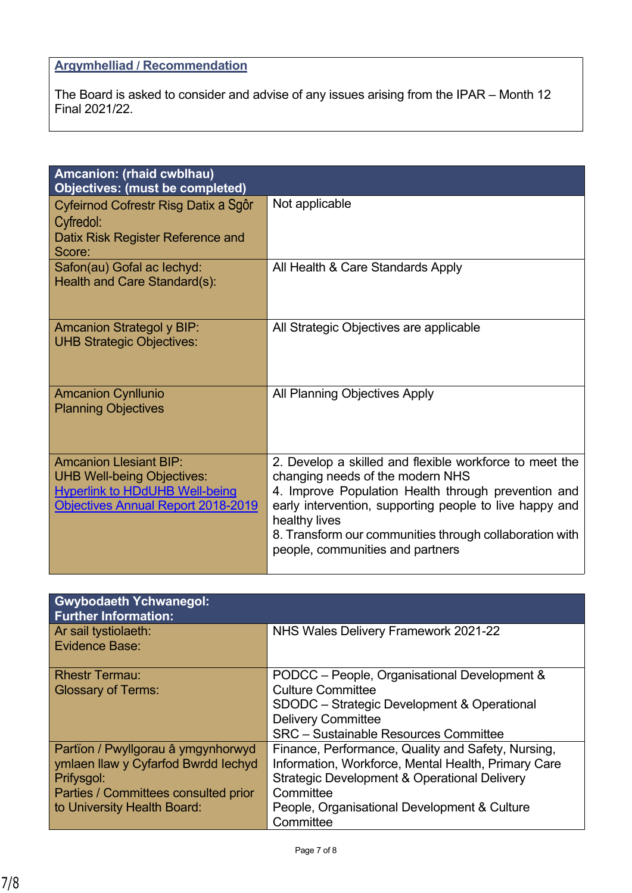# **Argymhelliad / Recommendation**

The Board is asked to consider and advise of any issues arising from the IPAR – Month 12 Final 2021/22.

| Not applicable                                                                                                                                                                                                                                                     |
|--------------------------------------------------------------------------------------------------------------------------------------------------------------------------------------------------------------------------------------------------------------------|
|                                                                                                                                                                                                                                                                    |
|                                                                                                                                                                                                                                                                    |
| All Health & Care Standards Apply                                                                                                                                                                                                                                  |
| All Strategic Objectives are applicable                                                                                                                                                                                                                            |
| All Planning Objectives Apply                                                                                                                                                                                                                                      |
| 2. Develop a skilled and flexible workforce to meet the                                                                                                                                                                                                            |
| changing needs of the modern NHS<br>4. Improve Population Health through prevention and<br>early intervention, supporting people to live happy and<br>healthy lives<br>8. Transform our communities through collaboration with<br>people, communities and partners |
|                                                                                                                                                                                                                                                                    |

| <b>Gwybodaeth Ychwanegol:</b><br><b>Further Information:</b> |                                                         |
|--------------------------------------------------------------|---------------------------------------------------------|
| Ar sail tystiolaeth:                                         | NHS Wales Delivery Framework 2021-22                    |
| Evidence Base:                                               |                                                         |
| <b>Rhestr Termau:</b>                                        | PODCC – People, Organisational Development &            |
| <b>Glossary of Terms:</b>                                    | <b>Culture Committee</b>                                |
|                                                              | SDODC – Strategic Development & Operational             |
|                                                              | <b>Delivery Committee</b>                               |
|                                                              | <b>SRC</b> - Sustainable Resources Committee            |
| Partïon / Pwyllgorau â ymgynhorwyd                           | Finance, Performance, Quality and Safety, Nursing,      |
| ymlaen llaw y Cyfarfod Bwrdd Iechyd                          | Information, Workforce, Mental Health, Primary Care     |
| Prifysgol:                                                   | <b>Strategic Development &amp; Operational Delivery</b> |
| Parties / Committees consulted prior                         | Committee                                               |
| to University Health Board:                                  | People, Organisational Development & Culture            |
|                                                              | Committee                                               |